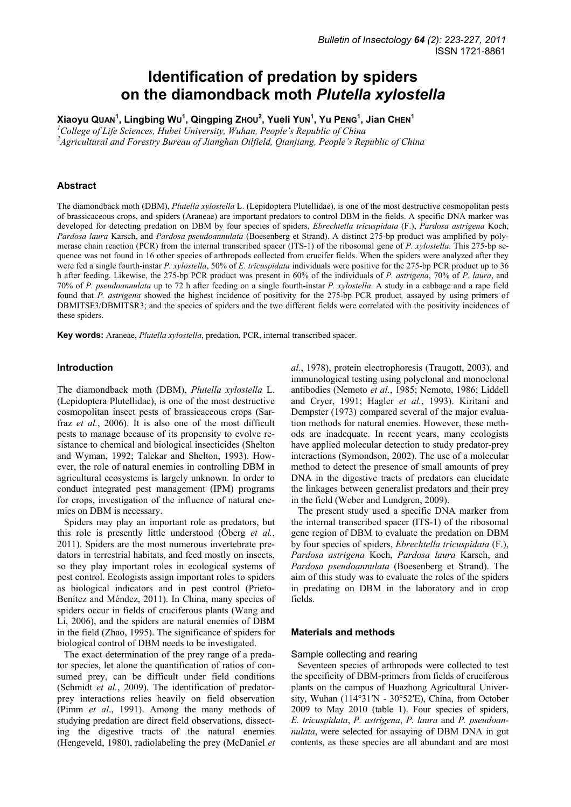# **Identification of predation by spiders on the diamondback moth** *Plutella xylostella*

 $X$ iaoyu Quan<sup>1</sup>, Lingbing Wu<sup>1</sup>, Qingping Zноυ<sup>2</sup>, Yueli Yun<sup>1</sup>, Yu Pɛʌɕ<sup>1</sup>, Jian Снɛʌ<sup>1</sup>

<sup>1</sup> College of Life Sciences, Hubei University, Wuhan, People's Republic of China

*2 Agricultural and Forestry Bureau of Jianghan Oilfield, Qianjiang, People's Republic of China* 

## **Abstract**

The diamondback moth (DBM), *Plutella xylostella* L. (Lepidoptera Plutellidae), is one of the most destructive cosmopolitan pests of brassicaceous crops, and spiders (Araneae) are important predators to control DBM in the fields. A specific DNA marker was developed for detecting predation on DBM by four species of spiders, *Ebrechtella tricuspidata* (F.), *Pardosa astrigena* Koch, *Pardosa laura* Karsch, and *Pardosa pseudoannulata* (Boesenberg et Strand). A distinct 275-bp product was amplified by polymerase chain reaction (PCR) from the internal transcribed spacer (ITS-1) of the ribosomal gene of *P. xylostella*. This 275-bp sequence was not found in 16 other species of arthropods collected from crucifer fields. When the spiders were analyzed after they were fed a single fourth-instar *P. xylostella*, 50% of *E. tricuspidata* individuals were positive for the 275-bp PCR product up to 36 h after feeding. Likewise, the 275-bp PCR product was present in 60% of the individuals of *P. astrigena*, 70% of *P. laura*, and 70% of *P. pseudoannulata* up to 72 h after feeding on a single fourth-instar *P. xylostella*. A study in a cabbage and a rape field found that *P. astrigena* showed the highest incidence of positivity for the 275-bp PCR product*,* assayed by using primers of DBMITSF3/DBMITSR3; and the species of spiders and the two different fields were correlated with the positivity incidences of these spiders.

**Key words:** Araneae, *Plutella xylostella*, predation, PCR, internal transcribed spacer.

#### **Introduction**

The diamondback moth (DBM), *Plutella xylostella* L. (Lepidoptera Plutellidae), is one of the most destructive cosmopolitan insect pests of brassicaceous crops (Sarfraz *et al.*, 2006). It is also one of the most difficult pests to manage because of its propensity to evolve resistance to chemical and biological insecticides (Shelton and Wyman, 1992; Talekar and Shelton, 1993). However, the role of natural enemies in controlling DBM in agricultural ecosystems is largely unknown. In order to conduct integrated pest management (IPM) programs for crops, investigation of the influence of natural enemies on DBM is necessary.

Spiders may play an important role as predators, but this role is presently little understood (Öberg *et al.*, 2011). Spiders are the most numerous invertebrate predators in terrestrial habitats, and feed mostly on insects, so they play important roles in ecological systems of pest control. Ecologists assign important roles to spiders as biological indicators and in pest control (Prieto-Benítez and Méndez, 2011). In China, many species of spiders occur in fields of cruciferous plants (Wang and Li, 2006), and the spiders are natural enemies of DBM in the field (Zhao, 1995). The significance of spiders for biological control of DBM needs to be investigated.

The exact determination of the prey range of a predator species, let alone the quantification of ratios of consumed prey, can be difficult under field conditions (Schmidt *et al.*, 2009). The identification of predatorprey interactions relies heavily on field observation (Pimm *et al*., 1991). Among the many methods of studying predation are direct field observations, dissecting the digestive tracts of the natural enemies (Hengeveld, 1980), radiolabeling the prey (McDaniel *et* 

*al.*, 1978), protein electrophoresis (Traugott, 2003), and immunological testing using polyclonal and monoclonal antibodies (Nemoto *et al.*, 1985; Nemoto, 1986; Liddell and Cryer, 1991; Hagler *et al.*, 1993). Kiritani and Dempster (1973) compared several of the major evaluation methods for natural enemies. However, these methods are inadequate. In recent years, many ecologists have applied molecular detection to study predator-prey interactions (Symondson, 2002). The use of a molecular method to detect the presence of small amounts of prey DNA in the digestive tracts of predators can elucidate the linkages between generalist predators and their prey in the field (Weber and Lundgren, 2009).

The present study used a specific DNA marker from the internal transcribed spacer (ITS-1) of the ribosomal gene region of DBM to evaluate the predation on DBM by four species of spiders, *Ebrechtella tricuspidata* (F.), *Pardosa astrigena* Koch, *Pardosa laura* Karsch, and *Pardosa pseudoannulata* (Boesenberg et Strand). The aim of this study was to evaluate the roles of the spiders in predating on DBM in the laboratory and in crop fields.

#### **Materials and methods**

#### Sample collecting and rearing

Seventeen species of arthropods were collected to test the specificity of DBM-primers from fields of cruciferous plants on the campus of Huazhong Agricultural University, Wuhan (114°31′N - 30°52′E), China, from October 2009 to May 2010 (table 1). Four species of spiders, *E. tricuspidata*, *P. astrigena*, *P. laura* and *P. pseudoannulata*, were selected for assaying of DBM DNA in gut contents, as these species are all abundant and are most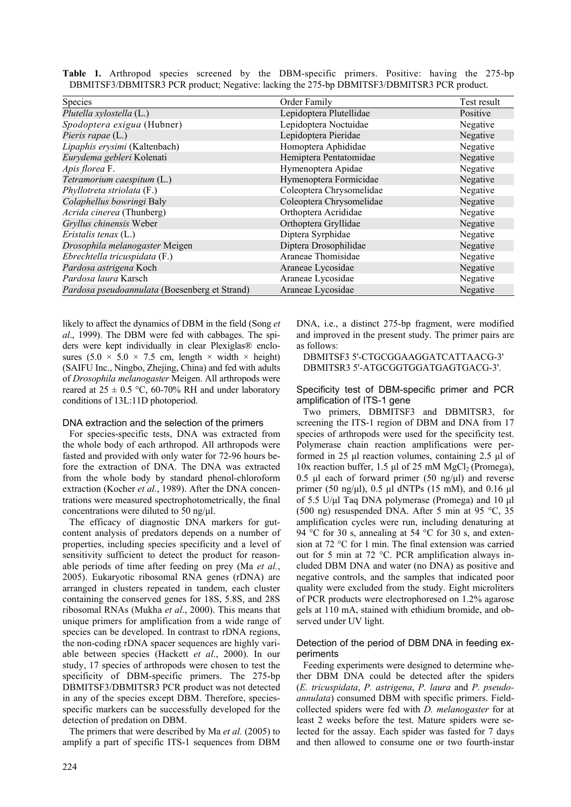|                                                                                            |  |  |  |  |  |  | <b>Table 1.</b> Arthropod species screened by the DBM-specific primers. Positive: having the 275-bp |  |  |  |  |  |
|--------------------------------------------------------------------------------------------|--|--|--|--|--|--|-----------------------------------------------------------------------------------------------------|--|--|--|--|--|
| DBMITSF3/DBMITSR3 PCR product; Negative: lacking the 275-bp DBMITSF3/DBMITSR3 PCR product. |  |  |  |  |  |  |                                                                                                     |  |  |  |  |  |

| Species                                       | Order Family             | Test result |
|-----------------------------------------------|--------------------------|-------------|
| Plutella xylostella (L.)                      | Lepidoptera Plutellidae  | Positive    |
| Spodoptera exigua (Hubner)                    | Lepidoptera Noctuidae    | Negative    |
| Pieris rapae (L.)                             | Lepidoptera Pieridae     | Negative    |
| Lipaphis erysimi (Kaltenbach)                 | Homoptera Aphididae      | Negative    |
| Eurydema gebleri Kolenati                     | Hemiptera Pentatomidae   | Negative    |
| Apis florea F.                                | Hymenoptera Apidae       | Negative    |
| Tetramorium caespitum (L.)                    | Hymenoptera Formicidae   | Negative    |
| Phyllotreta striolata (F.)                    | Coleoptera Chrysomelidae | Negative    |
| Colaphellus bowringi Baly                     | Coleoptera Chrysomelidae | Negative    |
| Acrida cinerea (Thunberg)                     | Orthoptera Acrididae     | Negative    |
| Gryllus chinensis Weber                       | Orthoptera Gryllidae     | Negative    |
| Eristalis tenax $(L)$                         | Diptera Syrphidae        | Negative    |
| Drosophila melanogaster Meigen                | Diptera Drosophilidae    | Negative    |
| Ebrechtella tricuspidata (F.)                 | Araneae Thomisidae       | Negative    |
| Pardosa astrigena Koch                        | Araneae Lycosidae        | Negative    |
| Pardosa laura Karsch                          | Araneae Lycosidae        | Negative    |
| Pardosa pseudoannulata (Boesenberg et Strand) | Araneae Lycosidae        | Negative    |

likely to affect the dynamics of DBM in the field (Song *et al*., 1999). The DBM were fed with cabbages. The spiders were kept individually in clear Plexiglas® enclosures  $(5.0 \times 5.0 \times 7.5 \text{ cm}, \text{ length} \times \text{width} \times \text{height})$ (SAIFU Inc., Ningbo, Zhejing, China) and fed with adults of *Drosophila melanogaster* Meigen. All arthropods were reared at  $25 \pm 0.5$  °C, 60-70% RH and under laboratory conditions of 13L:11D photoperiod.

### DNA extraction and the selection of the primers

For species-specific tests, DNA was extracted from the whole body of each arthropod. All arthropods were fasted and provided with only water for 72-96 hours before the extraction of DNA. The DNA was extracted from the whole body by standard phenol-chloroform extraction (Kocher *et al.*, 1989). After the DNA concentrations were measured spectrophotometrically, the final concentrations were diluted to 50 ng/ul.

The efficacy of diagnostic DNA markers for gutcontent analysis of predators depends on a number of properties, including species specificity and a level of sensitivity sufficient to detect the product for reasonable periods of time after feeding on prey (Ma *et al.*, 2005). Eukaryotic ribosomal RNA genes (rDNA) are arranged in clusters repeated in tandem, each cluster containing the conserved genes for 18S, 5.8S, and 28S ribosomal RNAs (Mukha *et al*., 2000). This means that unique primers for amplification from a wide range of species can be developed. In contrast to rDNA regions, the non-coding rDNA spacer sequences are highly variable between species (Hackett *et al*., 2000). In our study, 17 species of arthropods were chosen to test the specificity of DBM-specific primers. The 275-bp DBMITSF3/DBMITSR3 PCR product was not detected in any of the species except DBM. Therefore, speciesspecific markers can be successfully developed for the detection of predation on DBM.

The primers that were described by Ma *et al.* (2005) to amplify a part of specific ITS-1 sequences from DBM DNA, i.e., a distinct 275-bp fragment, were modified and improved in the present study. The primer pairs are as follows:

DBMITSF3 5'-CTGCGGAAGGATCATTAACG-3' DBMITSR3 5'-ATGCGGTGGATGAGTGACG-3'.

## Specificity test of DBM-specific primer and PCR amplification of ITS-1 gene

Two primers, DBMITSF3 and DBMITSR3, for screening the ITS-1 region of DBM and DNA from 17 species of arthropods were used for the specificity test. Polymerase chain reaction amplifications were performed in 25 µl reaction volumes, containing 2.5 µl of 10x reaction buffer, 1.5 µl of 25 mM  $MgCl<sub>2</sub>$  (Promega), 0.5 µl each of forward primer (50 ng/ $\mu$ l) and reverse primer (50 ng/ $\mu$ l), 0.5  $\mu$ l dNTPs (15 mM), and 0.16  $\mu$ l of 5.5 U/ $\mu$ l Taq DNA polymerase (Promega) and 10  $\mu$ l (500 ng) resuspended DNA. After 5 min at 95 °C, 35 amplification cycles were run, including denaturing at 94 °C for 30 s, annealing at 54 °C for 30 s, and extension at 72 °C for 1 min. The final extension was carried out for 5 min at 72 °C. PCR amplification always included DBM DNA and water (no DNA) as positive and negative controls, and the samples that indicated poor quality were excluded from the study. Eight microliters of PCR products were electrophoresed on 1.2% agarose gels at 110 mA, stained with ethidium bromide, and observed under UV light.

## Detection of the period of DBM DNA in feeding experiments

Feeding experiments were designed to determine whether DBM DNA could be detected after the spiders (*E. tricuspidata*, *P. astrigena*, *P. laura* and *P. pseudoannulata*) consumed DBM with specific primers. Fieldcollected spiders were fed with *D. melanogaster* for at least 2 weeks before the test. Mature spiders were selected for the assay. Each spider was fasted for 7 days and then allowed to consume one or two fourth-instar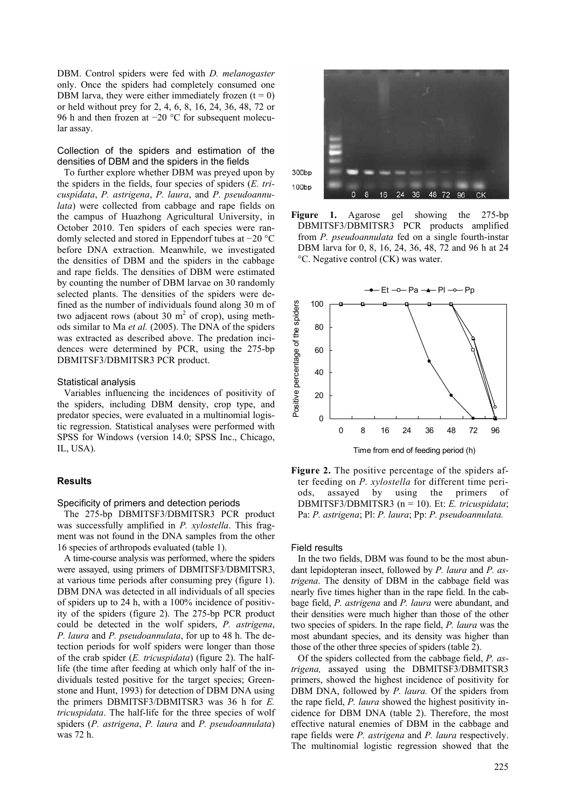DBM. Control spiders were fed with *D. melanogaster* only. Once the spiders had completely consumed one DBM larva, they were either immediately frozen  $(t = 0)$ or held without prey for 2, 4, 6, 8, 16, 24, 36, 48, 72 or 96 h and then frozen at −20 °C for subsequent molecular assay.

Collection of the spiders and estimation of the densities of DBM and the spiders in the fields

To further explore whether DBM was preyed upon by the spiders in the fields, four species of spiders (*E. tricuspidata*, *P. astrigena*, *P. laura*, and *P. pseudoannulata*) were collected from cabbage and rape fields on the campus of Huazhong Agricultural University, in October 2010. Ten spiders of each species were randomly selected and stored in Eppendorf tubes at −20 °C before DNA extraction. Meanwhile, we investigated the densities of DBM and the spiders in the cabbage and rape fields. The densities of DBM were estimated by counting the number of DBM larvae on 30 randomly selected plants. The densities of the spiders were defined as the number of individuals found along 30 m of two adjacent rows (about 30  $m<sup>2</sup>$  of crop), using methods similar to Ma *et al.* (2005). The DNA of the spiders was extracted as described above. The predation incidences were determined by PCR, using the 275-bp DBMITSF3/DBMITSR3 PCR product.

## Statistical analysis

Variables influencing the incidences of positivity of the spiders, including DBM density, crop type, and predator species, were evaluated in a multinomial logistic regression. Statistical analyses were performed with SPSS for Windows (version 14.0; SPSS Inc., Chicago, IL, USA).

#### **Results**

Specificity of primers and detection periods

The 275-bp DBMITSF3/DBMITSR3 PCR product was successfully amplified in *P. xylostella*. This fragment was not found in the DNA samples from the other 16 species of arthropods evaluated (table 1).

A time-course analysis was performed, where the spiders were assayed, using primers of DBMITSF3/DBMITSR3, at various time periods after consuming prey (figure 1). DBM DNA was detected in all individuals of all species of spiders up to 24 h, with a 100% incidence of positivity of the spiders (figure 2). The 275-bp PCR product could be detected in the wolf spiders, *P. astrigena*, *P. laura* and *P. pseudoannulata*, for up to 48 h. The detection periods for wolf spiders were longer than those of the crab spider (*E. tricuspidata*) (figure 2). The halflife (the time after feeding at which only half of the individuals tested positive for the target species; Greenstone and Hunt, 1993) for detection of DBM DNA using the primers DBMITSF3/DBMITSR3 was 36 h for *E. tricuspidata*. The half-life for the three species of wolf spiders (*P. astrigena*, *P. laura* and *P. pseudoannulata*) was 72 h.



**Figure 1.** Agarose gel showing the 275-bp DBMITSF3/DBMITSR3 PCR products amplified from *P. pseudoannulata* fed on a single fourth-instar DBM larva for 0, 8, 16, 24, 36, 48, 72 and 96 h at 24 °C. Negative control (CK) was water.



**Figure 2.** The positive percentage of the spiders after feeding on *P. xylostella* for different time periods, assayed by using the primers of DBMITSF3/DBMITSR3 (n = 10). Et: *E. tricuspidata*; Pa: *P. astrigena*; Pl: *P. laura*; Pp: *P. pseudoannulata.*

#### Field results

In the two fields, DBM was found to be the most abundant lepidopteran insect, followed by *P. laura* and *P. astrigena*. The density of DBM in the cabbage field was nearly five times higher than in the rape field. In the cabbage field, *P. astrigena* and *P. laura* were abundant, and their densities were much higher than those of the other two species of spiders. In the rape field, *P. laura* was the most abundant species, and its density was higher than those of the other three species of spiders (table 2).

Of the spiders collected from the cabbage field, *P. astrigena,* assayed using the DBMITSF3/DBMITSR3 primers, showed the highest incidence of positivity for DBM DNA, followed by *P. laura.* Of the spiders from the rape field, *P. laura* showed the highest positivity incidence for DBM DNA (table 2). Therefore, the most effective natural enemies of DBM in the cabbage and rape fields were *P. astrigena* and *P. laura* respectively. The multinomial logistic regression showed that the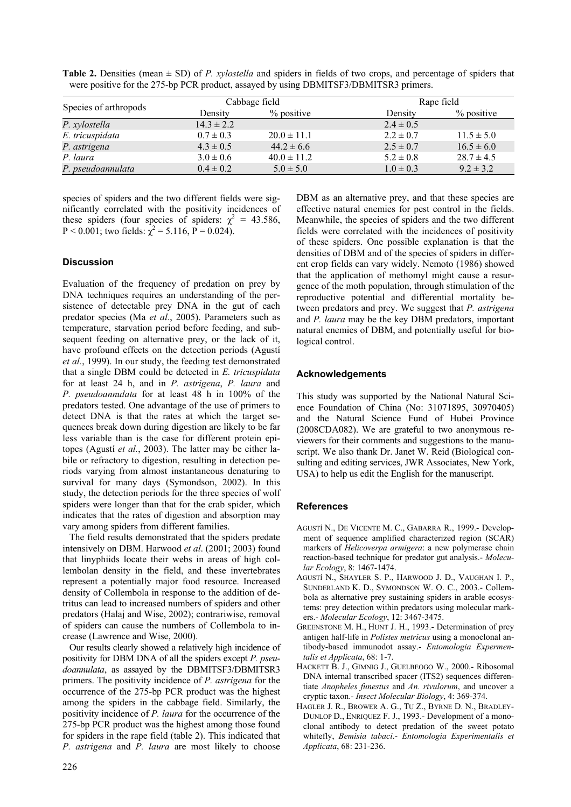| Species of arthropods |                | Cabbage field   | Rape field    |                |  |  |
|-----------------------|----------------|-----------------|---------------|----------------|--|--|
|                       | Density        | $%$ positive    | Density       | % positive     |  |  |
| P. xylostella         | $14.3 \pm 2.2$ |                 | $2.4 \pm 0.5$ |                |  |  |
| E. tricuspidata       | $0.7 \pm 0.3$  | $20.0 \pm 11.1$ | $2.2 \pm 0.7$ | $11.5 \pm 5.0$ |  |  |
| P. astrigena          | $4.3 \pm 0.5$  | $44.2 \pm 6.6$  | $2.5 \pm 0.7$ | $16.5 \pm 6.0$ |  |  |
| P. laura              | $3.0 \pm 0.6$  | $40.0 \pm 11.2$ | $5.2 \pm 0.8$ | $28.7 \pm 4.5$ |  |  |
| P. pseudoannulata     | $0.4 \pm 0.2$  | $5.0 \pm 5.0$   | $1.0 \pm 0.3$ | $9.2 \pm 3.2$  |  |  |

**Table 2.** Densities (mean ± SD) of *P. xylostella* and spiders in fields of two crops, and percentage of spiders that were positive for the 275-bp PCR product, assayed by using DBMITSF3/DBMITSR3 primers.

species of spiders and the two different fields were significantly correlated with the positivity incidences of these spiders (four species of spiders:  $\chi^2 = 43.586$ , P < 0.001; two fields:  $\chi^2$  = 5.116, P = 0.024).

# **Discussion**

Evaluation of the frequency of predation on prey by DNA techniques requires an understanding of the persistence of detectable prey DNA in the gut of each predator species (Ma *et al.*, 2005). Parameters such as temperature, starvation period before feeding, and subsequent feeding on alternative prey, or the lack of it, have profound effects on the detection periods (Agustí *et al.*, 1999). In our study, the feeding test demonstrated that a single DBM could be detected in *E. tricuspidata*  for at least 24 h, and in *P. astrigena*, *P. laura* and *P. pseudoannulata* for at least 48 h in 100% of the predators tested. One advantage of the use of primers to detect DNA is that the rates at which the target sequences break down during digestion are likely to be far less variable than is the case for different protein epitopes (Agustí *et al.*, 2003). The latter may be either labile or refractory to digestion, resulting in detection periods varying from almost instantaneous denaturing to survival for many days (Symondson, 2002). In this study, the detection periods for the three species of wolf spiders were longer than that for the crab spider, which indicates that the rates of digestion and absorption may vary among spiders from different families.

The field results demonstrated that the spiders predate intensively on DBM. Harwood *et al*. (2001; 2003) found that linyphiids locate their webs in areas of high collembolan density in the field, and these invertebrates represent a potentially major food resource. Increased density of Collembola in response to the addition of detritus can lead to increased numbers of spiders and other predators (Halaj and Wise, 2002); contrariwise, removal of spiders can cause the numbers of Collembola to increase (Lawrence and Wise, 2000).

Our results clearly showed a relatively high incidence of positivity for DBM DNA of all the spiders except *P. pseudoannulata*, as assayed by the DBMITSF3/DBMITSR3 primers. The positivity incidence of *P. astrigena* for the occurrence of the 275-bp PCR product was the highest among the spiders in the cabbage field. Similarly, the positivity incidence of *P. laura* for the occurrence of the 275-bp PCR product was the highest among those found for spiders in the rape field (table 2). This indicated that *P. astrigena* and *P. laura* are most likely to choose DBM as an alternative prey, and that these species are effective natural enemies for pest control in the fields. Meanwhile, the species of spiders and the two different fields were correlated with the incidences of positivity of these spiders. One possible explanation is that the densities of DBM and of the species of spiders in different crop fields can vary widely. Nemoto (1986) showed that the application of methomyl might cause a resurgence of the moth population, through stimulation of the reproductive potential and differential mortality between predators and prey. We suggest that *P. astrigena* and *P. laura* may be the key DBM predators, important natural enemies of DBM, and potentially useful for biological control.

# **Acknowledgements**

This study was supported by the National Natural Science Foundation of China (No: 31071895, 30970405) and the Natural Science Fund of Hubei Province (2008CDA082). We are grateful to two anonymous reviewers for their comments and suggestions to the manuscript. We also thank Dr. Janet W. Reid (Biological consulting and editing services, JWR Associates, New York, USA) to help us edit the English for the manuscript.

## **References**

- AGUSTÍ N., DE VICENTE M. C., GABARRA R., 1999.- Development of sequence amplified characterized region (SCAR) markers of *Helicoverpa armigera*: a new polymerase chain reaction-based technique for predator gut analysis.- *Molecular Ecology*, 8: 1467-1474.
- AGUSTÍ N., SHAYLER S. P., HARWOOD J. D., VAUGHAN I. P., SUNDERLAND K. D., SYMONDSON W. O. C., 2003.- Collembola as alternative prey sustaining spiders in arable ecosystems: prey detection within predators using molecular markers.- *Molecular Ecology*, 12: 3467-3475.
- GREENSTONE M. H., HUNT J. H., 1993.- Determination of prey antigen half-life in *Polistes metricus* using a monoclonal antibody-based immunodot assay.- *Entomologia Expermentalis et Applicata*, 68: 1-7.
- HACKETT B. J., GIMNIG J., GUELBEOGO W., 2000.- Ribosomal DNA internal transcribed spacer (ITS2) sequences differentiate *Anopheles funestus* and *An. rivulorum*, and uncover a cryptic taxon.- *Insect Molecular Biology*, 4: 369-374.
- HAGLER J. R., BROWER A. G., TU Z., BYRNE D. N., BRADLEY-DUNLOP D., ENRIQUEZ F. J., 1993.- Development of a monoclonal antibody to detect predation of the sweet potato whitefly, *Bemisia tabaci*.- *Entomologia Experimentalis et Applicata*, 68: 231-236.